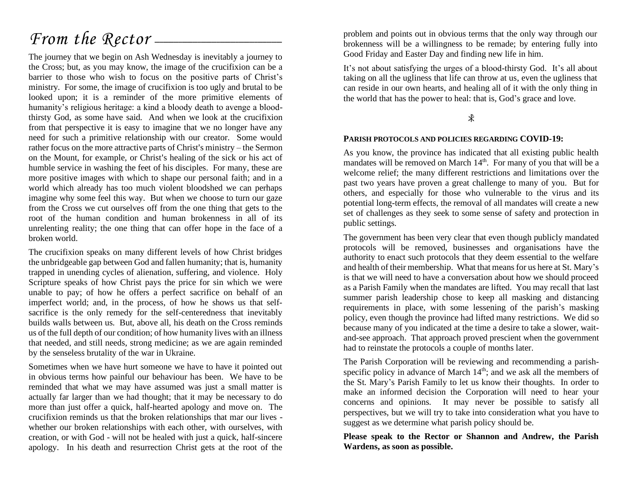# *From the Rector* —

The journey that we begin on Ash Wednesday is inevitably a journey to the Cross; but, as you may know, the image of the crucifixion can be a barrier to those who wish to focus on the positive parts of Christ's ministry. For some, the image of crucifixion is too ugly and brutal to be looked upon; it is a reminder of the more primitive elements of humanity's religious heritage: a kind a bloody death to avenge a bloodthirsty God, as some have said. And when we look at the crucifixion from that perspective it is easy to imagine that we no longer have any need for such a primitive relationship with our creator. Some would rather focus on the more attractive parts of Christ's ministry – the Sermon on the Mount, for example, or Christ's healing of the sick or his act of humble service in washing the feet of his disciples. For many, these are more positive images with which to shape our personal faith; and in a world which already has too much violent bloodshed we can perhaps imagine why some feel this way. But when we choose to turn our gaze from the Cross we cut ourselves off from the one thing that gets to the root of the human condition and human brokenness in all of its unrelenting reality; the one thing that can offer hope in the face of a broken world.

The crucifixion speaks on many different levels of how Christ bridges the unbridgeable gap between God and fallen humanity; that is, humanity trapped in unending cycles of alienation, suffering, and violence. Holy Scripture speaks of how Christ pays the price for sin which we were unable to pay; of how he offers a perfect sacrifice on behalf of an imperfect world; and, in the process, of how he shows us that selfsacrifice is the only remedy for the self-centeredness that inevitably builds walls between us. But, above all, his death on the Cross reminds us of the full depth of our condition; of how humanity lives with an illness that needed, and still needs, strong medicine; as we are again reminded by the senseless brutality of the war in Ukraine.

Sometimes when we have hurt someone we have to have it pointed out in obvious terms how painful our behaviour has been. We have to be reminded that what we may have assumed was just a small matter is actually far larger than we had thought; that it may be necessary to do more than just offer a quick, half-hearted apology and move on. The crucifixion reminds us that the broken relationships that mar our lives whether our broken relationships with each other, with ourselves, with creation, or with God - will not be healed with just a quick, half-sincere apology. In his death and resurrection Christ gets at the root of the

problem and points out in obvious terms that the only way through our brokenness will be a willingness to be remade; by entering fully into Good Friday and Easter Day and finding new life in him.

It's not about satisfying the urges of a blood-thirsty God. It's all about taking on all the ugliness that life can throw at us, even the ugliness that can reside in our own hearts, and healing all of it with the only thing in the world that has the power to heal: that is, God's grace and love.

 $\ast$ 

#### **PARISH PROTOCOLS AND POLICIES REGARDING COVID-19:**

As you know, the province has indicated that all existing public health mandates will be removed on March  $14<sup>th</sup>$ . For many of you that will be a welcome relief; the many different restrictions and limitations over the past two years have proven a great challenge to many of you. But for others, and especially for those who vulnerable to the virus and its potential long-term effects, the removal of all mandates will create a new set of challenges as they seek to some sense of safety and protection in public settings.

The government has been very clear that even though publicly mandated protocols will be removed, businesses and organisations have the authority to enact such protocols that they deem essential to the welfare and health of their membership. What that means for us here at St. Mary's is that we will need to have a conversation about how we should proceed as a Parish Family when the mandates are lifted. You may recall that last summer parish leadership chose to keep all masking and distancing requirements in place, with some lessening of the parish's masking policy, even though the province had lifted many restrictions. We did so because many of you indicated at the time a desire to take a slower, waitand-see approach. That approach proved prescient when the government had to reinstate the protocols a couple of months later.

The Parish Corporation will be reviewing and recommending a parishspecific policy in advance of March  $14<sup>th</sup>$ ; and we ask all the members of the St. Mary's Parish Family to let us know their thoughts. In order to make an informed decision the Corporation will need to hear your concerns and opinions. It may never be possible to satisfy all perspectives, but we will try to take into consideration what you have to suggest as we determine what parish policy should be.

**Please speak to the Rector or Shannon and Andrew, the Parish Wardens, as soon as possible.**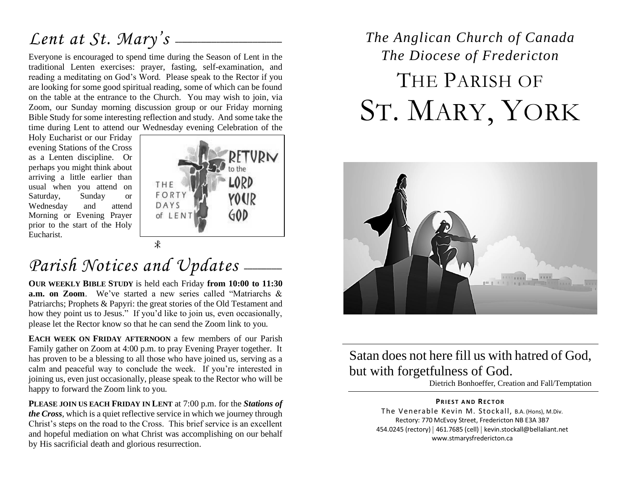# Lent at St. Mary's  $-$

Everyone is encouraged to spend time during the Season of Lent in the traditional Lenten exercises: prayer, fasting, self-examination, and reading a meditating on God's Word. Please speak to the Rector if you are looking for some good spiritual reading, some of which can be found on the table at the entrance to the Church. You may wish to join, via Zoom, our Sunday morning discussion group or our Friday morning Bible Study for some interesting reflection and study. And some take the time during Lent to attend our Wednesday evening Celebration of the

Holy Eucharist or our Friday evening Stations of the Cross as a Lenten discipline. Or perhaps you might think about arriving a little earlier than usual when you attend on Saturday, Sunday or Wednesday and attend Morning or Evening Prayer prior to the start of the Holy Eucharist.



# Parish Notices and Updates -

**OUR WEEKLY BIBLE STUDY** is held each Friday **from 10:00 to 11:30 a.m. on Zoom**. We've started a new series called "Matriarchs & Patriarchs; Prophets & Papyri: the great stories of the Old Testament and how they point us to Jesus." If you'd like to join us, even occasionally, please let the Rector know so that he can send the Zoom link to you.

**EACH WEEK ON FRIDAY AFTERNOON** a few members of our Parish Family gather on Zoom at 4:00 p.m. to pray Evening Prayer together. It has proven to be a blessing to all those who have joined us, serving as a calm and peaceful way to conclude the week. If you're interested in joining us, even just occasionally, please speak to the Rector who will be happy to forward the Zoom link to you.

**PLEASE JOIN US EACH FRIDAY IN LENT** at 7:00 p.m. for the *Stations of the Cross*, which is a quiet reflective service in which we journey through Christ's steps on the road to the Cross. This brief service is an excellent and hopeful mediation on what Christ was accomplishing on our behalf by His sacrificial death and glorious resurrection.

# *The Anglican Church of Canada The Diocese of Fredericton* THE PARISH OF ST. MARY, YORK



## Satan does not here fill us with hatred of God, but with forgetfulness of God.

Dietrich Bonhoeffer, Creation and Fall/Temptation

#### **PRIEST AND RECTOR**

The Venerable Kevin M. Stockall, B.A. (Hons), M.Div. Rectory: 770 McEvoy Street, Fredericton NB E3A 3B7 454.0245 (rectory) | 461.7685 (cell) | kevin.stockall@bellaliant.net www.stmarysfredericton.ca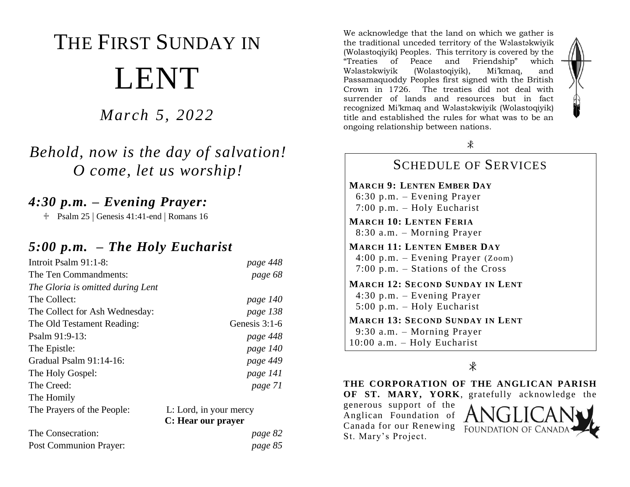# THE FIRST SUNDAY IN LENT

*March 5, 2022*

## *Behold, now is the day of salvation! O come, let us worship!*

### *4:30 p.m. – Evening Prayer:*

 $\text{\textdegree}$  Psalm 25 | Genesis 41:41-end | Romans 16

#### *5:00 p.m. – The Holy Eucharist*

| Introit Psalm 91:1-8:             | page 448               |
|-----------------------------------|------------------------|
| The Ten Commandments:             | page 68                |
| The Gloria is omitted during Lent |                        |
| The Collect:                      | page 140               |
| The Collect for Ash Wednesday:    | page 138               |
| The Old Testament Reading:        | Genesis $3:1-6$        |
| Psalm 91:9-13:                    | page 448               |
| The Epistle:                      | page 140               |
| Gradual Psalm 91:14-16:           | page 449               |
| The Holy Gospel:                  | page 141               |
| The Creed:                        | page 71                |
| The Homily                        |                        |
| The Prayers of the People:        | L: Lord, in your mercy |
|                                   | C: Hear our prayer     |
| The Concogration:                 | ngga $92$              |

| The Consecration:      | page 82 |
|------------------------|---------|
| Post Communion Prayer: | page 85 |

We acknowledge that the land on which we gather is the traditional unceded territory of the Wəlastəkwiyik (Wolastoqiyik) Peoples. This territory is covered by the "Treaties of Peace and Friendship" which Wəlastəkwiyik (Wolastoqiyik), Mi'kmaq, and Passamaquoddy Peoples first signed with the British Crown in 1726. The treaties did not deal with surrender of lands and resources but in fact recognized Mi'kmaq and Wəlastəkwiyik (Wolastoqiyik) title and established the rules for what was to be an ongoing relationship between nations.



#### SCHEDULE OF SERVICES **MARCH 9: LENTEN EMBER DAY** 6:30 p.m. – Evening Prayer 7:00 p.m. – Holy Eucharist **MARCH 10: LENTEN FERIA** 8:30 a.m. – Morning Prayer **MARCH 11: LENTEN EMBER DAY** 4:00 p.m. – Evening Prayer (Zoom) 7:00 p.m. – Stations of the Cross **MARCH 12: SECOND SUNDAY IN LENT** 4:30 p.m. – Evening Prayer 5:00 p.m. – Holy Eucharist **MARCH 13: SECOND SUNDAY IN LENT** 9:30 a.m. – Morning Prayer 10:00 a.m. – Holy Eucharist

#### $\ast$

**THE CORPORATION OF THE ANGLICAN PARISH OF ST. MARY, YORK**, gratefully acknowledge the

generous support of the Anglican Foundation of Canada for our Renewing St. Mary's Project.